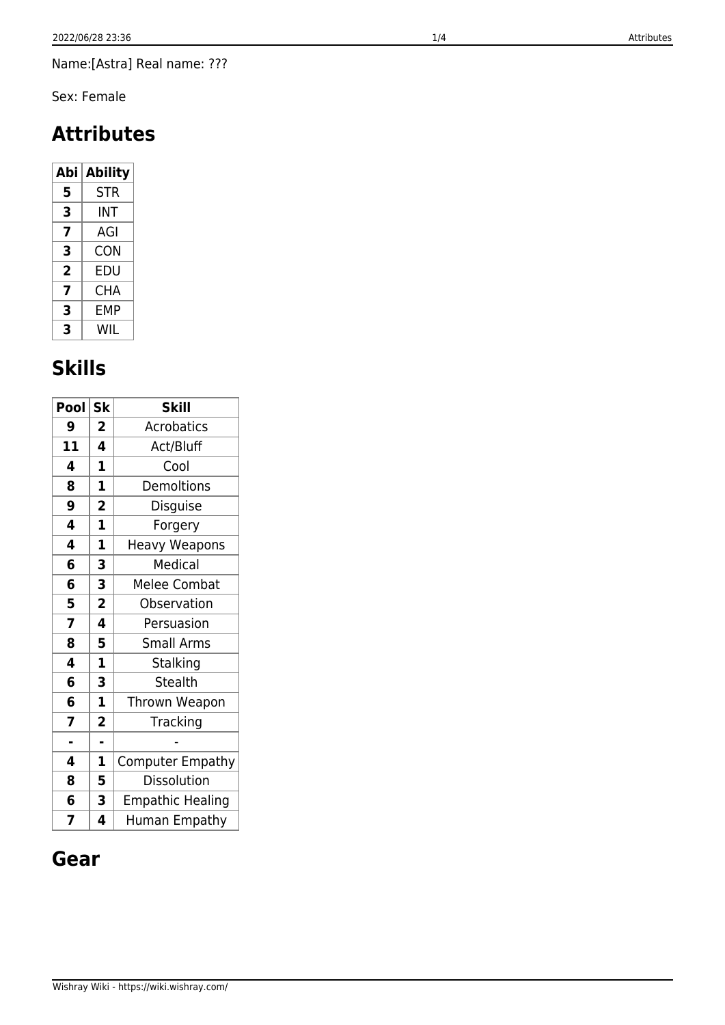Name:[Astra] Real name: ???

Sex: Female

# **Attributes**

| Abi | <b>Ability</b> |  |
|-----|----------------|--|
| 5   | <b>STR</b>     |  |
| 3   | INT            |  |
| 7   | AGI            |  |
| 3   | CON            |  |
| 2   | EDU            |  |
| 7   | CHA            |  |
| 3   | FMP            |  |
| 3   | WIL            |  |

# **Skills**

| Pool | <b>Sk</b>               | <b>Skill</b>            |
|------|-------------------------|-------------------------|
| 9    | 2                       | <b>Acrobatics</b>       |
| 11   | 4                       | Act/Bluff               |
| 4    | 1                       | Cool                    |
| 8    | 1                       | Demoltions              |
| 9    | $\overline{\mathbf{2}}$ | Disguise                |
| 4    | $\mathbf{1}$            | Forgery                 |
| 4    | $\mathbf{1}$            | <b>Heavy Weapons</b>    |
| 6    | 3                       | Medical                 |
| 6    | 3                       | <b>Melee Combat</b>     |
| 5    | $\overline{\mathbf{2}}$ | Observation             |
| 7    | 4                       | Persuasion              |
| 8    | 5                       | Small Arms              |
| 4    | $\overline{\mathbf{1}}$ | Stalking                |
| 6    | 3                       | <b>Stealth</b>          |
| 6    | $\mathbf 1$             | Thrown Weapon           |
| 7    | $\overline{\mathbf{c}}$ | Tracking                |
| L,   | ä,                      |                         |
| 4    | 1                       | <b>Computer Empathy</b> |
| 8    | 5                       | Dissolution             |
| 6    | 3                       | <b>Empathic Healing</b> |
| 7    | 4                       | Human Empathy           |

## **Gear**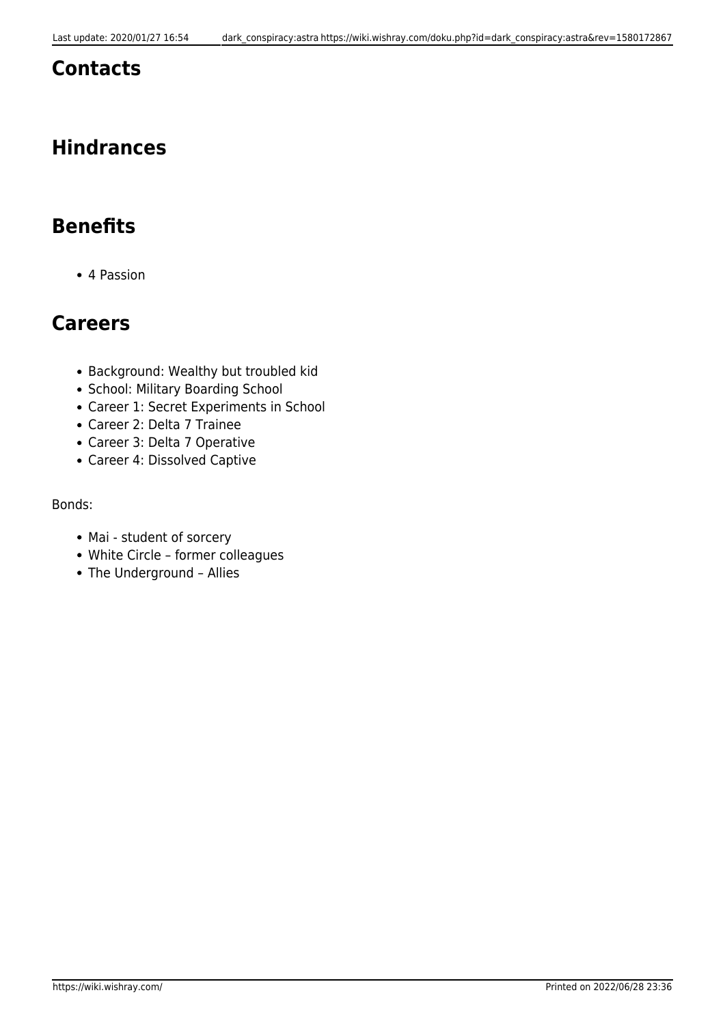### **Contacts**

## **Hindrances**

## **Benefits**

4 Passion

## **Careers**

- Background: Wealthy but troubled kid
- School: Military Boarding School
- Career 1: Secret Experiments in School
- Career 2: Delta 7 Trainee
- Career 3: Delta 7 Operative
- Career 4: Dissolved Captive

Bonds:

- Mai student of sorcery
- White Circle former colleagues
- The Underground Allies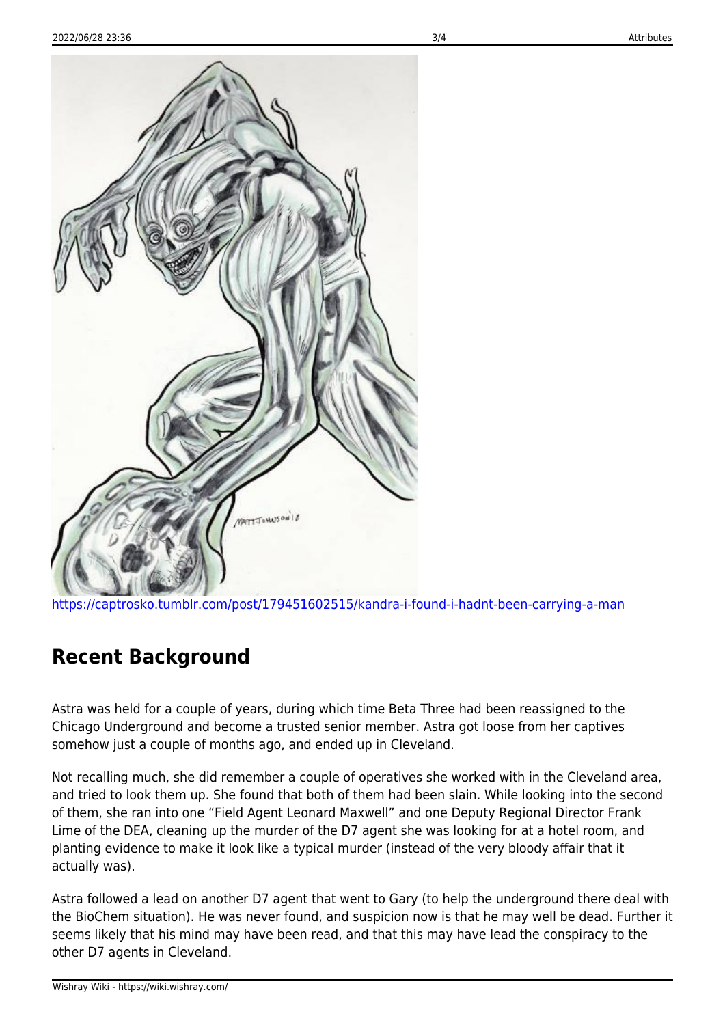

<https://captrosko.tumblr.com/post/179451602515/kandra-i-found-i-hadnt-been-carrying-a-man>

### **Recent Background**

Astra was held for a couple of years, during which time Beta Three had been reassigned to the Chicago Underground and become a trusted senior member. Astra got loose from her captives somehow just a couple of months ago, and ended up in Cleveland.

Not recalling much, she did remember a couple of operatives she worked with in the Cleveland area, and tried to look them up. She found that both of them had been slain. While looking into the second of them, she ran into one "Field Agent Leonard Maxwell" and one Deputy Regional Director Frank Lime of the DEA, cleaning up the murder of the D7 agent she was looking for at a hotel room, and planting evidence to make it look like a typical murder (instead of the very bloody affair that it actually was).

Astra followed a lead on another D7 agent that went to Gary (to help the underground there deal with the BioChem situation). He was never found, and suspicion now is that he may well be dead. Further it seems likely that his mind may have been read, and that this may have lead the conspiracy to the other D7 agents in Cleveland.